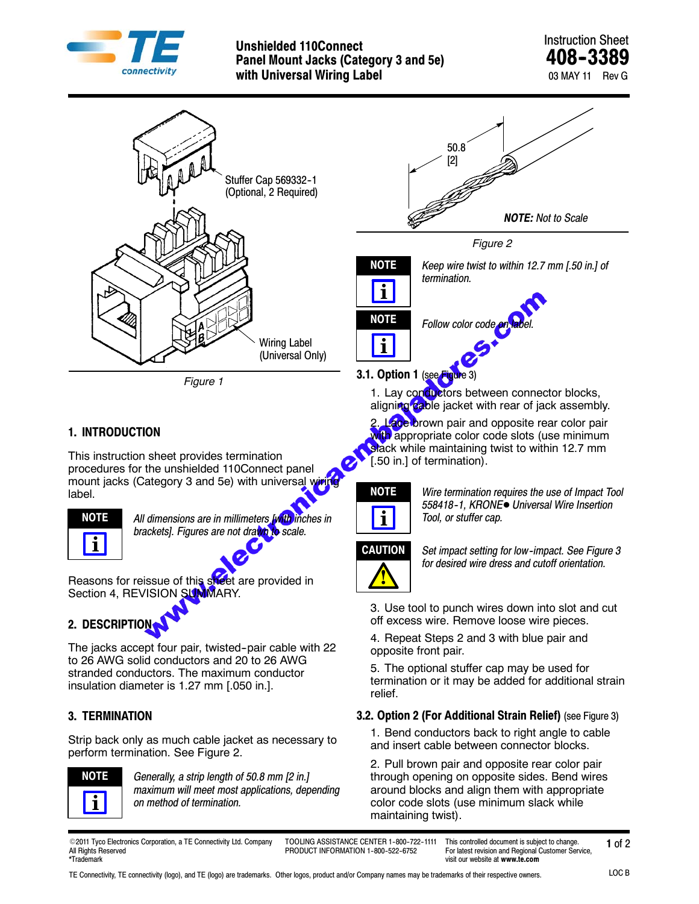

## Unshielded 110Connect<br>
Panel Mount Jacks (Category 3 and 5e) **AO8-3389 Panel Mount Jacks (Category 3 and 5e) with Universal Wiring Label** 03 MAY 11 Rev G